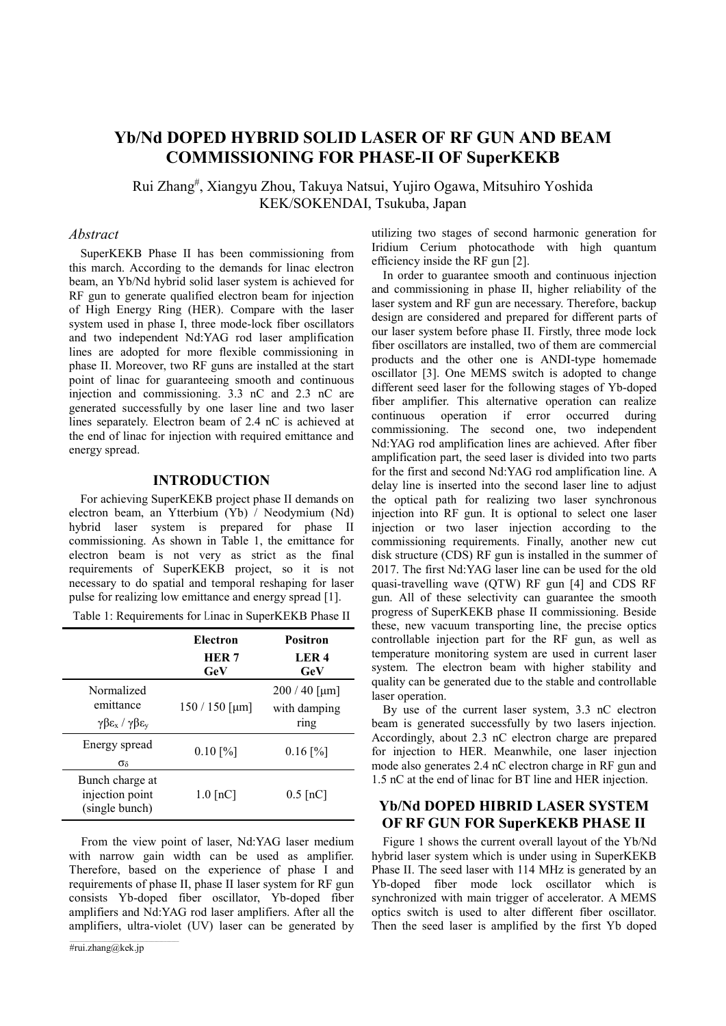# Yb/Nd DOPED HYBRID SOLID LASER OF RF GUN AND BEAM COMMISSIONING FOR PHASE-II OF SuperKEKB

Rui Zhang# , Xiangyu Zhou, Takuya Natsui, Yujiro Ogawa, Mitsuhiro Yoshida KEK/SOKENDAI, Tsukuba, Japan

#### Abstract

SuperKEKB Phase II has been commissioning from this march. According to the demands for linac electron beam, an Yb/Nd hybrid solid laser system is achieved for RF gun to generate qualified electron beam for injection of High Energy Ring (HER). Compare with the laser system used in phase I, three mode-lock fiber oscillators and two independent Nd:YAG rod laser amplification lines are adopted for more flexible commissioning in phase II. Moreover, two RF guns are installed at the start point of linac for guaranteeing smooth and continuous injection and commissioning. 3.3 nC and 2.3 nC are generated successfully by one laser line and two laser lines separately. Electron beam of 2.4 nC is achieved at the end of linac for injection with required emittance and energy spread.

### INTRODUCTION

For achieving SuperKEKB project phase II demands on electron beam, an Ytterbium (Yb) / Neodymium (Nd) hybrid laser system is prepared for phase II commissioning. As shown in Table 1, the emittance for electron beam is not very as strict as the final requirements of SuperKEKB project, so it is not necessary to do spatial and temporal reshaping for laser pulse for realizing low emittance and energy spread [1].

| Table 1: Requirements for Linac in SuperKEKB Phase II |  |  |
|-------------------------------------------------------|--|--|
|                                                       |  |  |

|                                                                                | Electron<br><b>HER7</b><br>GeV | <b>Positron</b><br>LER <sub>4</sub><br>GeV |
|--------------------------------------------------------------------------------|--------------------------------|--------------------------------------------|
| Normalized<br>emittance<br>$\gamma \beta \epsilon_x / \gamma \beta \epsilon_y$ | $150/150$ [µm]                 | $200/40$ [µm]<br>with damping<br>ring      |
| Energy spread<br>$\sigma_{\delta}$                                             | $0.10$ [%]                     | $0.16$ [%]                                 |
| Bunch charge at<br>injection point<br>(single bunch)                           | $1.0$ [nC]                     | $0.5$ [nC]                                 |

From the view point of laser, Nd:YAG laser medium with narrow gain width can be used as amplifier. Therefore, based on the experience of phase I and requirements of phase II, phase II laser system for RF gun consists Yb-doped fiber oscillator, Yb-doped fiber amplifiers and Nd:YAG rod laser amplifiers. After all the amplifiers, ultra-violet (UV) laser can be generated by

utilizing two stages of second harmonic generation for Iridium Cerium photocathode with high quantum efficiency inside the RF gun [2].

In order to guarantee smooth and continuous injection and commissioning in phase II, higher reliability of the laser system and RF gun are necessary. Therefore, backup design are considered and prepared for different parts of our laser system before phase II. Firstly, three mode lock fiber oscillators are installed, two of them are commercial products and the other one is ANDI-type homemade oscillator [3]. One MEMS switch is adopted to change different seed laser for the following stages of Yb-doped fiber amplifier. This alternative operation can realize continuous operation if error occurred during commissioning. The second one, two independent Nd:YAG rod amplification lines are achieved. After fiber amplification part, the seed laser is divided into two parts for the first and second Nd:YAG rod amplification line. A delay line is inserted into the second laser line to adjust the optical path for realizing two laser synchronous injection into RF gun. It is optional to select one laser injection or two laser injection according to the commissioning requirements. Finally, another new cut disk structure (CDS) RF gun is installed in the summer of 2017. The first Nd:YAG laser line can be used for the old quasi-travelling wave (QTW) RF gun [4] and CDS RF gun. All of these selectivity can guarantee the smooth progress of SuperKEKB phase II commissioning. Beside these, new vacuum transporting line, the precise optics controllable injection part for the RF gun, as well as temperature monitoring system are used in current laser system. The electron beam with higher stability and quality can be generated due to the stable and controllable laser operation.

By use of the current laser system, 3.3 nC electron beam is generated successfully by two lasers injection. Accordingly, about 2.3 nC electron charge are prepared for injection to HER. Meanwhile, one laser injection mode also generates 2.4 nC electron charge in RF gun and 1.5 nC at the end of linac for BT line and HER injection.

## Yb/Nd DOPED HIBRID LASER SYSTEM OF RF GUN FOR SuperKEKB PHASE II

Figure 1 shows the current overall layout of the Yb/Nd hybrid laser system which is under using in SuperKEKB Phase II. The seed laser with 114 MHz is generated by an Yb-doped fiber mode lock oscillator which is synchronized with main trigger of accelerator. A MEMS optics switch is used to alter different fiber oscillator. Then the seed laser is amplified by the first Yb doped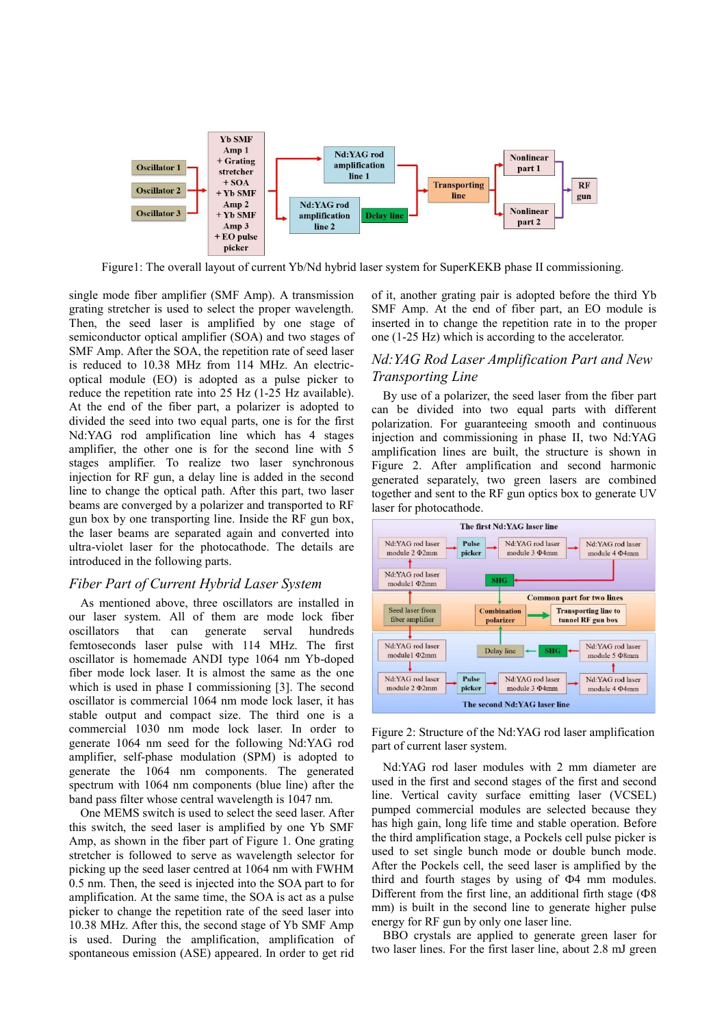

Figure1: The overall layout of current Yb/Nd hybrid laser system for SuperKEKB phase II commissioning.

single mode fiber amplifier (SMF Amp). A transmission grating stretcher is used to select the proper wavelength. Then, the seed laser is amplified by one stage of semiconductor optical amplifier (SOA) and two stages of SMF Amp. After the SOA, the repetition rate of seed laser is reduced to 10.38 MHz from 114 MHz. An electricoptical module (EO) is adopted as a pulse picker to reduce the repetition rate into 25 Hz (1-25 Hz available). At the end of the fiber part, a polarizer is adopted to divided the seed into two equal parts, one is for the first Nd:YAG rod amplification line which has 4 stages amplifier, the other one is for the second line with 5 stages amplifier. To realize two laser synchronous injection for RF gun, a delay line is added in the second line to change the optical path. After this part, two laser beams are converged by a polarizer and transported to RF gun box by one transporting line. Inside the RF gun box, the laser beams are separated again and converted into ultra-violet laser for the photocathode. The details are introduced in the following parts.

#### Fiber Part of Current Hybrid Laser System

As mentioned above, three oscillators are installed in our laser system. All of them are mode lock fiber oscillators that can generate serval hundreds femtoseconds laser pulse with 114 MHz. The first oscillator is homemade ANDI type 1064 nm Yb-doped fiber mode lock laser. It is almost the same as the one which is used in phase I commissioning [3]. The second oscillator is commercial 1064 nm mode lock laser, it has stable output and compact size. The third one is a commercial 1030 nm mode lock laser. In order to generate 1064 nm seed for the following Nd:YAG rod amplifier, self-phase modulation (SPM) is adopted to generate the 1064 nm components. The generated spectrum with 1064 nm components (blue line) after the band pass filter whose central wavelength is 1047 nm.

One MEMS switch is used to select the seed laser. After this switch, the seed laser is amplified by one Yb SMF Amp, as shown in the fiber part of Figure 1. One grating stretcher is followed to serve as wavelength selector for picking up the seed laser centred at 1064 nm with FWHM 0.5 nm. Then, the seed is injected into the SOA part to for amplification. At the same time, the SOA is act as a pulse picker to change the repetition rate of the seed laser into 10.38 MHz. After this, the second stage of Yb SMF Amp is used. During the amplification, amplification of spontaneous emission (ASE) appeared. In order to get rid

of it, another grating pair is adopted before the third Yb SMF Amp. At the end of fiber part, an EO module is inserted in to change the repetition rate in to the proper one (1-25 Hz) which is according to the accelerator.

### Nd:YAG Rod Laser Amplification Part and New Transporting Line

By use of a polarizer, the seed laser from the fiber part can be divided into two equal parts with different polarization. For guaranteeing smooth and continuous injection and commissioning in phase II, two Nd:YAG amplification lines are built, the structure is shown in Figure 2. After amplification and second harmonic generated separately, two green lasers are combined together and sent to the RF gun optics box to generate UV laser for photocathode.



Figure 2: Structure of the Nd:YAG rod laser amplification part of current laser system.

Nd:YAG rod laser modules with 2 mm diameter are used in the first and second stages of the first and second line. Vertical cavity surface emitting laser (VCSEL) pumped commercial modules are selected because they has high gain, long life time and stable operation. Before the third amplification stage, a Pockels cell pulse picker is used to set single bunch mode or double bunch mode. After the Pockels cell, the seed laser is amplified by the third and fourth stages by using of Ф4 mm modules. Different from the first line, an additional firth stage  $( \Phi 8)$ mm) is built in the second line to generate higher pulse energy for RF gun by only one laser line.

BBO crystals are applied to generate green laser for two laser lines. For the first laser line, about 2.8 mJ green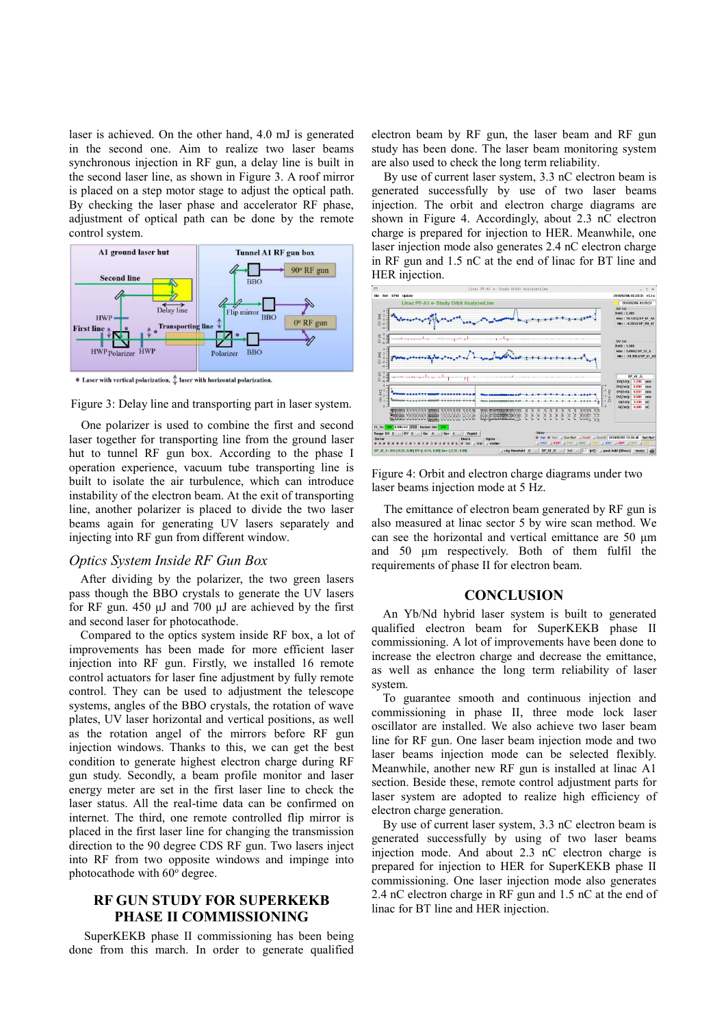laser is achieved. On the other hand, 4.0 mJ is generated in the second one. Aim to realize two laser beams synchronous injection in RF gun, a delay line is built in the second laser line, as shown in Figure 3. A roof mirror is placed on a step motor stage to adjust the optical path. By checking the laser phase and accelerator RF phase, adjustment of optical path can be done by the remote control system.



 $\bullet$  Laser with vertical polarization,  $\updownarrow$  laser with horizontal polarization.



One polarizer is used to combine the first and second laser together for transporting line from the ground laser hut to tunnel RF gun box. According to the phase I operation experience, vacuum tube transporting line is built to isolate the air turbulence, which can introduce instability of the electron beam. At the exit of transporting line, another polarizer is placed to divide the two laser beams again for generating UV lasers separately and injecting into RF gun from different window.

#### Optics System Inside RF Gun Box

After dividing by the polarizer, the two green lasers pass though the BBO crystals to generate the UV lasers for RF gun. 450 μJ and 700 μJ are achieved by the first and second laser for photocathode.

Compared to the optics system inside RF box, a lot of improvements has been made for more efficient laser injection into RF gun. Firstly, we installed 16 remote control actuators for laser fine adjustment by fully remote control. They can be used to adjustment the telescope systems, angles of the BBO crystals, the rotation of wave plates, UV laser horizontal and vertical positions, as well as the rotation angel of the mirrors before RF gun injection windows. Thanks to this, we can get the best condition to generate highest electron charge during RF gun study. Secondly, a beam profile monitor and laser energy meter are set in the first laser line to check the laser status. All the real-time data can be confirmed on internet. The third, one remote controlled flip mirror is placed in the first laser line for changing the transmission direction to the 90 degree CDS RF gun. Two lasers inject into RF from two opposite windows and impinge into photocathode with 60° degree.

### RF GUN STUDY FOR SUPERKEKB PHASE II COMMISSIONING

 SuperKEKB phase II commissioning has been being done from this march. In order to generate qualified

electron beam by RF gun, the laser beam and RF gun study has been done. The laser beam monitoring system are also used to check the long term reliability.

By use of current laser system, 3.3 nC electron beam is generated successfully by use of two laser beams injection. The orbit and electron charge diagrams are shown in Figure 4. Accordingly, about 2.3 nC electron charge is prepared for injection to HER. Meanwhile, one laser injection mode also generates 2.4 nC electron charge in RF gun and 1.5 nC at the end of linac for BT line and HER injection.



Figure 4: Orbit and electron charge diagrams under two laser beams injection mode at 5 Hz.

The emittance of electron beam generated by RF gun is also measured at linac sector 5 by wire scan method. We can see the horizontal and vertical emittance are 50 μm and 50 μm respectively. Both of them fulfil the requirements of phase II for electron beam.

#### **CONCLUSION**

An Yb/Nd hybrid laser system is built to generated qualified electron beam for SuperKEKB phase II commissioning. A lot of improvements have been done to increase the electron charge and decrease the emittance, as well as enhance the long term reliability of laser system.

To guarantee smooth and continuous injection and commissioning in phase II, three mode lock laser oscillator are installed. We also achieve two laser beam line for RF gun. One laser beam injection mode and two laser beams injection mode can be selected flexibly. Meanwhile, another new RF gun is installed at linac A1 section. Beside these, remote control adjustment parts for laser system are adopted to realize high efficiency of electron charge generation.

By use of current laser system, 3.3 nC electron beam is generated successfully by using of two laser beams injection mode. And about 2.3 nC electron charge is prepared for injection to HER for SuperKEKB phase II commissioning. One laser injection mode also generates 2.4 nC electron charge in RF gun and 1.5 nC at the end of linac for BT line and HER injection.